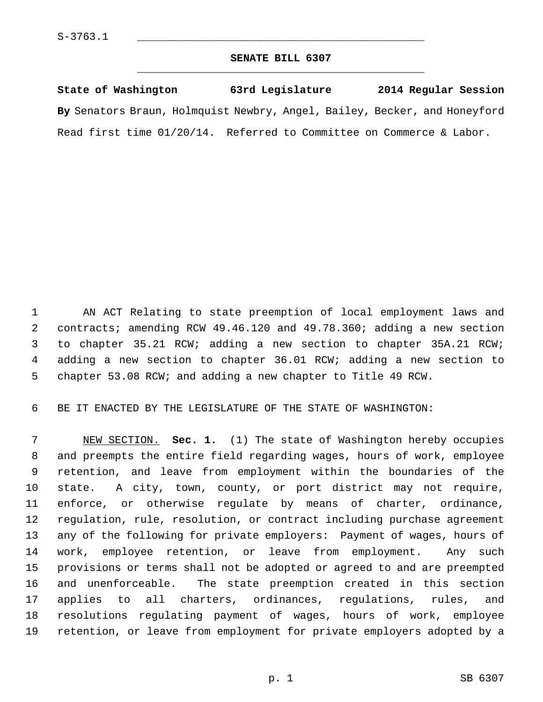## **SENATE BILL 6307** \_\_\_\_\_\_\_\_\_\_\_\_\_\_\_\_\_\_\_\_\_\_\_\_\_\_\_\_\_\_\_\_\_\_\_\_\_\_\_\_\_\_\_\_\_

**State of Washington 63rd Legislature 2014 Regular Session By** Senators Braun, Holmquist Newbry, Angel, Bailey, Becker, and Honeyford Read first time 01/20/14. Referred to Committee on Commerce & Labor.

 1 AN ACT Relating to state preemption of local employment laws and 2 contracts; amending RCW 49.46.120 and 49.78.360; adding a new section 3 to chapter 35.21 RCW; adding a new section to chapter 35A.21 RCW; 4 adding a new section to chapter 36.01 RCW; adding a new section to 5 chapter 53.08 RCW; and adding a new chapter to Title 49 RCW.

6 BE IT ENACTED BY THE LEGISLATURE OF THE STATE OF WASHINGTON:

 7 NEW SECTION. **Sec. 1.** (1) The state of Washington hereby occupies 8 and preempts the entire field regarding wages, hours of work, employee 9 retention, and leave from employment within the boundaries of the 10 state. A city, town, county, or port district may not require, 11 enforce, or otherwise regulate by means of charter, ordinance, 12 regulation, rule, resolution, or contract including purchase agreement 13 any of the following for private employers: Payment of wages, hours of 14 work, employee retention, or leave from employment. Any such 15 provisions or terms shall not be adopted or agreed to and are preempted 16 and unenforceable. The state preemption created in this section 17 applies to all charters, ordinances, regulations, rules, and 18 resolutions regulating payment of wages, hours of work, employee 19 retention, or leave from employment for private employers adopted by a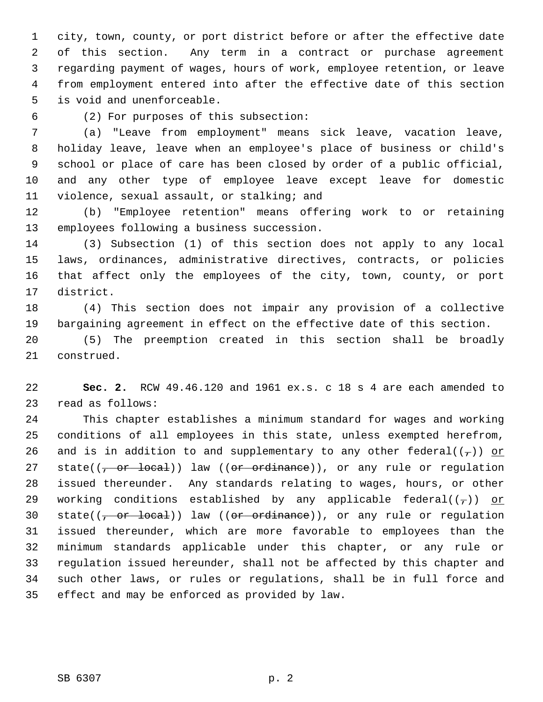1 city, town, county, or port district before or after the effective date 2 of this section. Any term in a contract or purchase agreement 3 regarding payment of wages, hours of work, employee retention, or leave 4 from employment entered into after the effective date of this section 5 is void and unenforceable.

## 6 (2) For purposes of this subsection:

 7 (a) "Leave from employment" means sick leave, vacation leave, 8 holiday leave, leave when an employee's place of business or child's 9 school or place of care has been closed by order of a public official, 10 and any other type of employee leave except leave for domestic 11 violence, sexual assault, or stalking; and

12 (b) "Employee retention" means offering work to or retaining 13 employees following a business succession.

14 (3) Subsection (1) of this section does not apply to any local 15 laws, ordinances, administrative directives, contracts, or policies 16 that affect only the employees of the city, town, county, or port 17 district.

18 (4) This section does not impair any provision of a collective 19 bargaining agreement in effect on the effective date of this section.

20 (5) The preemption created in this section shall be broadly 21 construed.

22 **Sec. 2.** RCW 49.46.120 and 1961 ex.s. c 18 s 4 are each amended to 23 read as follows:

24 This chapter establishes a minimum standard for wages and working 25 conditions of all employees in this state, unless exempted herefrom, 26 and is in addition to and supplementary to any other federal( $(\tau)$ ) or 27 state( $(-$ or local)) law ( $($ or ordinance)), or any rule or regulation 28 issued thereunder. Any standards relating to wages, hours, or other 29 working conditions established by any applicable federal( $(\tau)$ ) or 30 state( $(\frac{\pi}{2} \sigma r \text{ local})$ ) law ( $(\sigma r \sigma r \text{ defined})$ ), or any rule or regulation 31 issued thereunder, which are more favorable to employees than the 32 minimum standards applicable under this chapter, or any rule or 33 regulation issued hereunder, shall not be affected by this chapter and 34 such other laws, or rules or regulations, shall be in full force and 35 effect and may be enforced as provided by law.